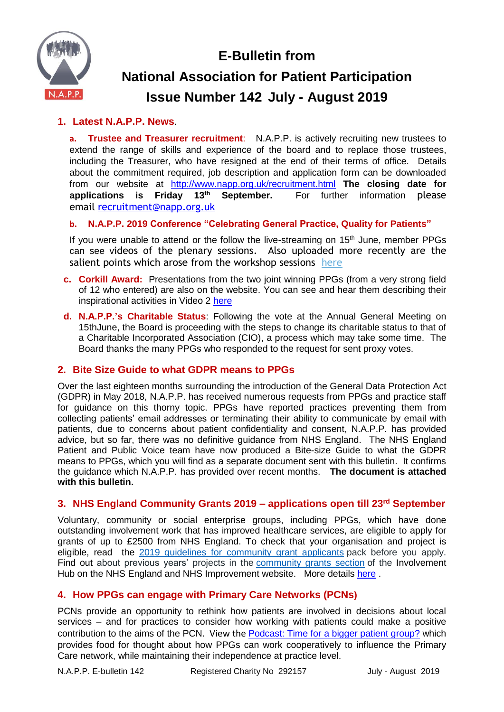**E-Bulletin from**



# **National Association for Patient Participation Issue Number 142 July - August 2019**

# **1. Latest N.A.P.P. News**.

**a. Trustee and Treasurer recruitment**: N.A.P.P. is actively recruiting new trustees to extend the range of skills and experience of the board and to replace those trustees, including the Treasurer, who have resigned at the end of their terms of office. Details about the commitment required, job description and application form can be downloaded from our website at <http://www.napp.org.uk/recruitment.html> **The closing date for applications is Friday 13th September.** For further information please email [recruitment@napp.org.uk](mailto:recruitment@napp.org.uk)

## **b. N.A.P.P. 2019 Conference "Celebrating General Practice, Quality for Patients"**

If you were unable to attend or the follow the live-streaming on 15<sup>th</sup> June, member PPGs can see videos of the plenary sessions. Also uploaded more recently are the salient points which arose from the workshop sessions [here](https://www.napp.org.uk/membersonly/2019conference.html)

- **c. Corkill Award:** Presentations from the two joint winning PPGs (from a very strong field of 12 who entered) are also on the website. You can see and hear them describing their inspirational activities in Video 2 [here](http://www.napp.org.uk/membersonly/2019conference.html)
- **d. N.A.P.P.'s Charitable Status**: Following the vote at the Annual General Meeting on 15thJune, the Board is proceeding with the steps to change its charitable status to that of a Charitable Incorporated Association (CIO), a process which may take some time. The Board thanks the many PPGs who responded to the request for sent proxy votes.

# **2. Bite Size Guide to what GDPR means to PPGs**

Over the last eighteen months surrounding the introduction of the General Data Protection Act (GDPR) in May 2018, N.A.P.P. has received numerous requests from PPGs and practice staff for guidance on this thorny topic. PPGs have reported practices preventing them from collecting patients' email addresses or terminating their ability to communicate by email with patients, due to concerns about patient confidentiality and consent, N.A.P.P. has provided advice, but so far, there was no definitive guidance from NHS England. The NHS England Patient and Public Voice team have now produced a Bite-size Guide to what the GDPR means to PPGs, which you will find as a separate document sent with this bulletin. It confirms the guidance which N.A.P.P. has provided over recent months. **The document is attached with this bulletin.**

# **3. NHS England Community Grants 2019 – applications open till 23rd September**

Voluntary, community or social enterprise groups, including PPGs, which have done outstanding involvement work that has improved healthcare services, are eligible to apply for grants of up to £2500 from NHS England. To check that your organisation and project is eligible, read the 2019 guidelines for [community](https://www.england.nhs.uk/wp-content/uploads/2019/07/2019-guidelines-for-community-grant-applicants-.pdf) grant applicants pack before you apply. Find out about previous years' projects in the [community](https://www.england.nhs.uk/participation/success/community-grants-2018/) grants section of the Involvement Hub on the NHS England and NHS Improvement website. More details [here](https://www.england.nhs.uk/participation/success/community-grants-2019/).

# **4. How PPGs can engage with Primary Care Networks (PCNs)**

PCNs provide an opportunity to rethink how patients are involved in decisions about local services – and for practices to consider how working with patients could make a positive contribution to the aims of the PCN. View the [Podcast: Time for a bigger patient group?](https://soundcloud.com/pcc_nhs/time-for-a-bigger-patient-group) which provides food for thought about how PPGs can work cooperatively to influence the Primary Care network, while maintaining their independence at practice level.